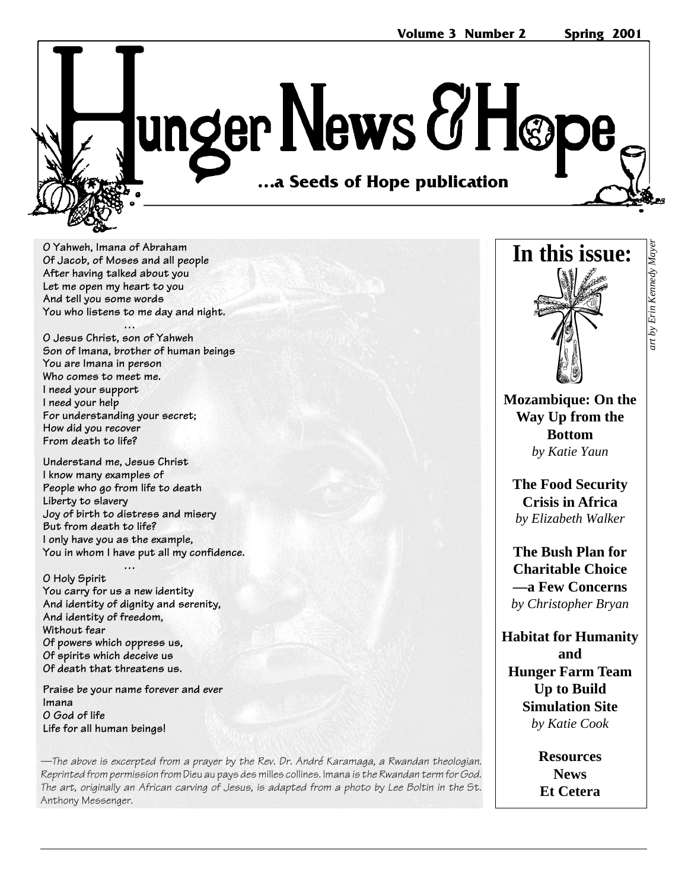unger News & Høp …a Seeds of Hope publication **…a Seeds of Hope publication**

**O Yahweh, Imana of Abraham Of Jacob, of Moses and all people After having talked about you Let me open my heart to you And tell you some words You who listens to me day and night.**

**… O Jesus Christ, son of Yahweh Son of Imana, brother of human beings You are Imana in person Who comes to meet me. I need your support I need your help For understanding your secret; How did you recover From death to life?**

**Understand me, Jesus Christ I know many examples of People who go from life to death Liberty to slavery Joy of birth to distress and misery But from death to life? I only have you as the example, You in whom I have put all my confidence.**

**… O Holy Spirit You carry for us a new identity And identity of dignity and serenity, And identity of freedom, Without fear Of powers which oppress us, Of spirits which deceive us Of death that threatens us.**

**Praise be your name forever and ever Imana O God of life Life for all human beings!**

—The above is excerpted from a prayer by the Rev. Dr. André Karamaga, a Rwandan theologian. Reprinted from permission from Dieu au pays des milles collines. Imana is the Rwandan term for God. The art, originally an African carving of Jesus, is adapted from a photo by Lee Boltin in the St. Anthony Messenger.



**In this issue:**

**The Food Security Crisis in Africa** *by Elizabeth Walker*

**The Bush Plan for Charitable Choice —a Few Concerns** *by Christopher Bryan*

**Habitat for Humanity and Hunger Farm Team Up to Build Simulation Site** *by Katie Cook*

> **Resources News Et Cetera**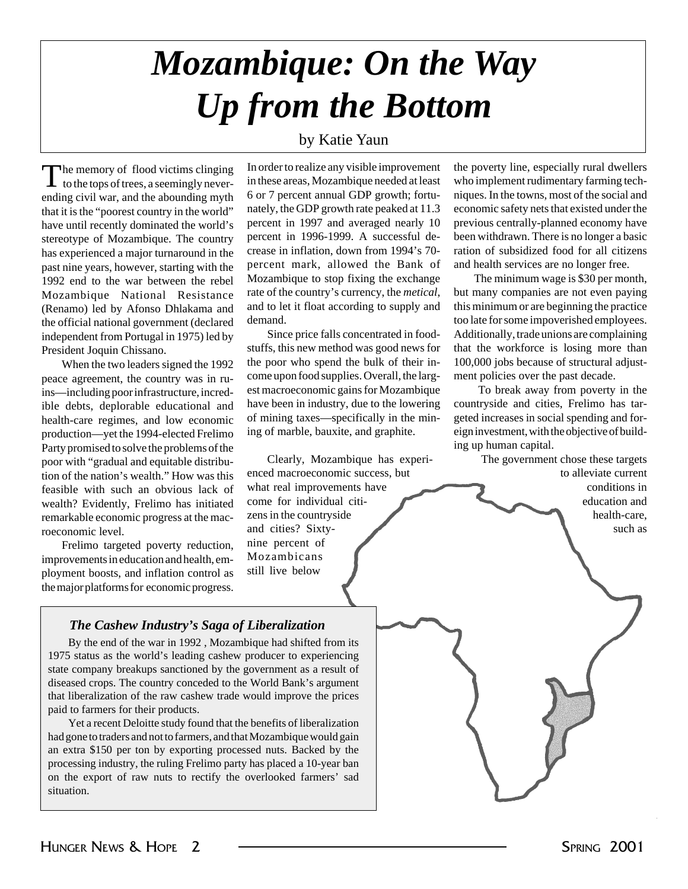# *Mozambique: On the Way Up from the Bottom*

#### by Katie Yaun

The memory of flood victims clinging<br>to the tops of trees, a seemingly neverending civil war, and the abounding myth that it is the "poorest country in the world" have until recently dominated the world's stereotype of Mozambique. The country has experienced a major turnaround in the past nine years, however, starting with the 1992 end to the war between the rebel Mozambique National Resistance (Renamo) led by Afonso Dhlakama and the official national government (declared independent from Portugal in 1975) led by President Joquin Chissano.

When the two leaders signed the 1992 peace agreement, the country was in ruins—including poor infrastructure, incredible debts, deplorable educational and health-care regimes, and low economic production—yet the 1994-elected Frelimo Party promised to solve the problems of the poor with "gradual and equitable distribution of the nation's wealth." How was this feasible with such an obvious lack of wealth? Evidently, Frelimo has initiated remarkable economic progress at the macroeconomic level.

Frelimo targeted poverty reduction, improvements in education and health, employment boosts, and inflation control as the major platforms for economic progress. In order to realize any visible improvement in these areas, Mozambique needed at least 6 or 7 percent annual GDP growth; fortunately, the GDP growth rate peaked at 11.3 percent in 1997 and averaged nearly 10 percent in 1996-1999. A successful decrease in inflation, down from 1994's 70 percent mark, allowed the Bank of Mozambique to stop fixing the exchange rate of the country's currency, the *metical*, and to let it float according to supply and demand.

Since price falls concentrated in foodstuffs, this new method was good news for the poor who spend the bulk of their income upon food supplies. Overall, the largest macroeconomic gains for Mozambique have been in industry, due to the lowering of mining taxes—specifically in the mining of marble, bauxite, and graphite.

Clearly, Mozambique has experienced macroeconomic success, but what real improvements have come for individual citizens in the countryside and cities? Sixtynine percent of Mozambicans still live below

the poverty line, especially rural dwellers who implement rudimentary farming techniques. In the towns, most of the social and economic safety nets that existed under the previous centrally-planned economy have been withdrawn. There is no longer a basic ration of subsidized food for all citizens and health services are no longer free.

The minimum wage is \$30 per month, but many companies are not even paying this minimum or are beginning the practice too late for some impoverished employees. Additionally, trade unions are complaining that the workforce is losing more than 100,000 jobs because of structural adjustment policies over the past decade.

 To break away from poverty in the countryside and cities, Frelimo has targeted increases in social spending and foreign investment, with the objective of building up human capital.

The government chose these targets to alleviate current

> conditions in education and health-care, such as

#### *The Cashew Industry's Saga of Liberalization*

By the end of the war in 1992 , Mozambique had shifted from its 1975 status as the world's leading cashew producer to experiencing state company breakups sanctioned by the government as a result of diseased crops. The country conceded to the World Bank's argument that liberalization of the raw cashew trade would improve the prices paid to farmers for their products.

Yet a recent Deloitte study found that the benefits of liberalization had gone to traders and not to farmers, and that Mozambique would gain an extra \$150 per ton by exporting processed nuts. Backed by the processing industry, the ruling Frelimo party has placed a 10-year ban on the export of raw nuts to rectify the overlooked farmers' sad situation.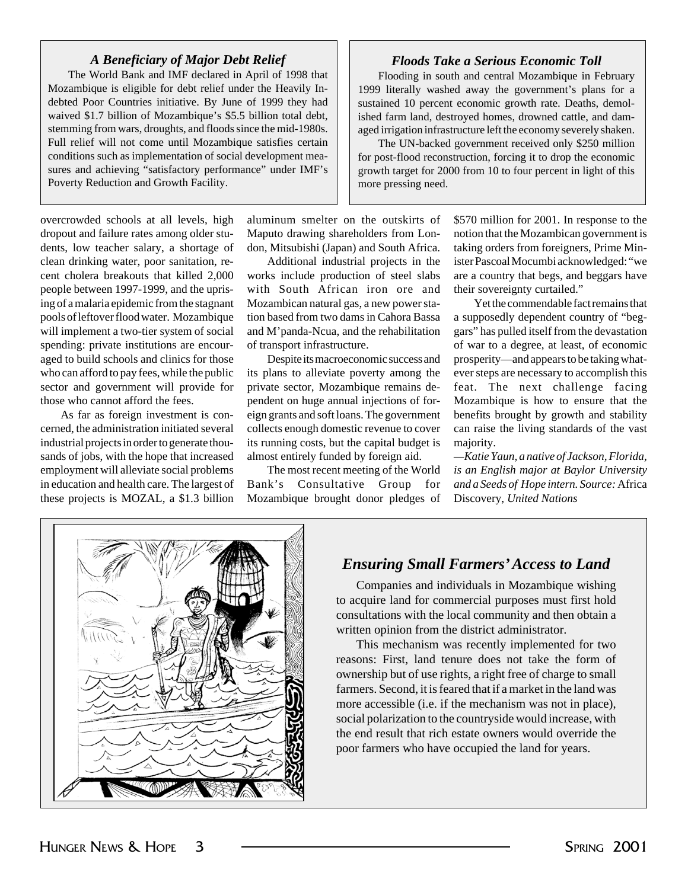#### *A Beneficiary of Major Debt Relief*

The World Bank and IMF declared in April of 1998 that Mozambique is eligible for debt relief under the Heavily Indebted Poor Countries initiative. By June of 1999 they had waived \$1.7 billion of Mozambique's \$5.5 billion total debt, stemming from wars, droughts, and floods since the mid-1980s. Full relief will not come until Mozambique satisfies certain conditions such as implementation of social development measures and achieving "satisfactory performance" under IMF's Poverty Reduction and Growth Facility.

overcrowded schools at all levels, high dropout and failure rates among older students, low teacher salary, a shortage of clean drinking water, poor sanitation, recent cholera breakouts that killed 2,000 people between 1997-1999, and the uprising of a malaria epidemic from the stagnant pools of leftover flood water. Mozambique will implement a two-tier system of social spending: private institutions are encouraged to build schools and clinics for those who can afford to pay fees, while the public sector and government will provide for those who cannot afford the fees.

As far as foreign investment is concerned, the administration initiated several industrial projects in order to generate thousands of jobs, with the hope that increased employment will alleviate social problems in education and health care. The largest of these projects is MOZAL, a \$1.3 billion

aluminum smelter on the outskirts of Maputo drawing shareholders from London, Mitsubishi (Japan) and South Africa.

Additional industrial projects in the works include production of steel slabs with South African iron ore and Mozambican natural gas, a new power station based from two dams in Cahora Bassa and M'panda-Ncua, and the rehabilitation of transport infrastructure.

Despite its macroeconomic success and its plans to alleviate poverty among the private sector, Mozambique remains dependent on huge annual injections of foreign grants and soft loans. The government collects enough domestic revenue to cover its running costs, but the capital budget is almost entirely funded by foreign aid.

The most recent meeting of the World Bank's Consultative Group for Mozambique brought donor pledges of

#### *Floods Take a Serious Economic Toll*

Flooding in south and central Mozambique in February 1999 literally washed away the government's plans for a sustained 10 percent economic growth rate. Deaths, demolished farm land, destroyed homes, drowned cattle, and damaged irrigation infrastructure left the economy severely shaken.

The UN-backed government received only \$250 million for post-flood reconstruction, forcing it to drop the economic growth target for 2000 from 10 to four percent in light of this more pressing need.

> \$570 million for 2001. In response to the notion that the Mozambican government is taking orders from foreigners, Prime Minister Pascoal Mocumbi acknowledged: "we are a country that begs, and beggars have their sovereignty curtailed."

> Yet the commendable fact remains that a supposedly dependent country of "beggars" has pulled itself from the devastation of war to a degree, at least, of economic prosperity—and appears to be taking whatever steps are necessary to accomplish this feat. The next challenge facing Mozambique is how to ensure that the benefits brought by growth and stability can raise the living standards of the vast majority.

> *—Katie Yaun, a native of Jackson, Florida, is an English major at Baylor University and a Seeds of Hope intern. Source:* Africa Discovery, *United Nations*



#### *Ensuring Small Farmers' Access to Land*

Companies and individuals in Mozambique wishing to acquire land for commercial purposes must first hold consultations with the local community and then obtain a written opinion from the district administrator.

This mechanism was recently implemented for two reasons: First, land tenure does not take the form of ownership but of use rights, a right free of charge to small farmers. Second, it is feared that if a market in the land was more accessible (i.e. if the mechanism was not in place), social polarization to the countryside would increase, with the end result that rich estate owners would override the poor farmers who have occupied the land for years.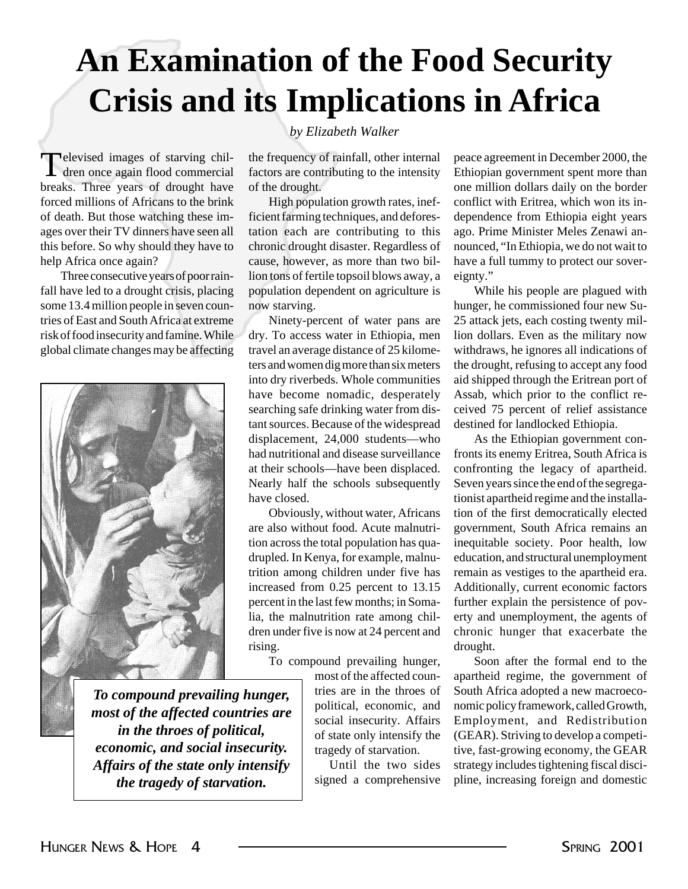# **An Examination of the Food Security Crisis and its Implications in Africa**

Televised images of starving chil-dren once again flood commercial breaks. Three years of drought have forced millions of Africans to the brink of death. But those watching these images over their TV dinners have seen all this before. So why should they have to help Africa once again?

Three consecutive years of poor rainfall have led to a drought crisis, placing some 13.4 million people in seven countries of East and South Africa at extreme risk of food insecurity and famine. While global climate changes may be affecting



#### *To compound prevailing hunger, most of the affected countries are in the throes of political, economic, and social insecurity. Affairs of the state only intensify the tragedy of starvation.*

#### *by Elizabeth Walker*

the frequency of rainfall, other internal factors are contributing to the intensity of the drought.

High population growth rates, inefficient farming techniques, and deforestation each are contributing to this chronic drought disaster. Regardless of cause, however, as more than two billion tons of fertile topsoil blows away, a population dependent on agriculture is now starving.

Ninety-percent of water pans are dry. To access water in Ethiopia, men travel an average distance of 25 kilometers and women dig more than six meters into dry riverbeds. Whole communities have become nomadic, desperately searching safe drinking water from distant sources. Because of the widespread displacement, 24,000 students—who had nutritional and disease surveillance at their schools—have been displaced. Nearly half the schools subsequently have closed.

Obviously, without water, Africans are also without food. Acute malnutrition across the total population has quadrupled. In Kenya, for example, malnutrition among children under five has increased from 0.25 percent to 13.15 percent in the last few months; in Somalia, the malnutrition rate among children under five is now at 24 percent and rising.

To compound prevailing hunger,

most of the affected countries are in the throes of political, economic, and social insecurity. Affairs of state only intensify the tragedy of starvation.

Until the two sides signed a comprehensive peace agreement in December 2000, the Ethiopian government spent more than one million dollars daily on the border conflict with Eritrea, which won its independence from Ethiopia eight years ago. Prime Minister Meles Zenawi announced, "In Ethiopia, we do not wait to have a full tummy to protect our sovereignty."

While his people are plagued with hunger, he commissioned four new Su-25 attack jets, each costing twenty million dollars. Even as the military now withdraws, he ignores all indications of the drought, refusing to accept any food aid shipped through the Eritrean port of Assab, which prior to the conflict received 75 percent of relief assistance destined for landlocked Ethiopia.

As the Ethiopian government confronts its enemy Eritrea, South Africa is confronting the legacy of apartheid. Seven years since the end of the segregationist apartheid regime and the installation of the first democratically elected government, South Africa remains an inequitable society. Poor health, low education, and structural unemployment remain as vestiges to the apartheid era. Additionally, current economic factors further explain the persistence of poverty and unemployment, the agents of chronic hunger that exacerbate the drought.

Soon after the formal end to the apartheid regime, the government of South Africa adopted a new macroeconomic policy framework, called Growth, Employment, and Redistribution (GEAR). Striving to develop a competitive, fast-growing economy, the GEAR strategy includes tightening fiscal discipline, increasing foreign and domestic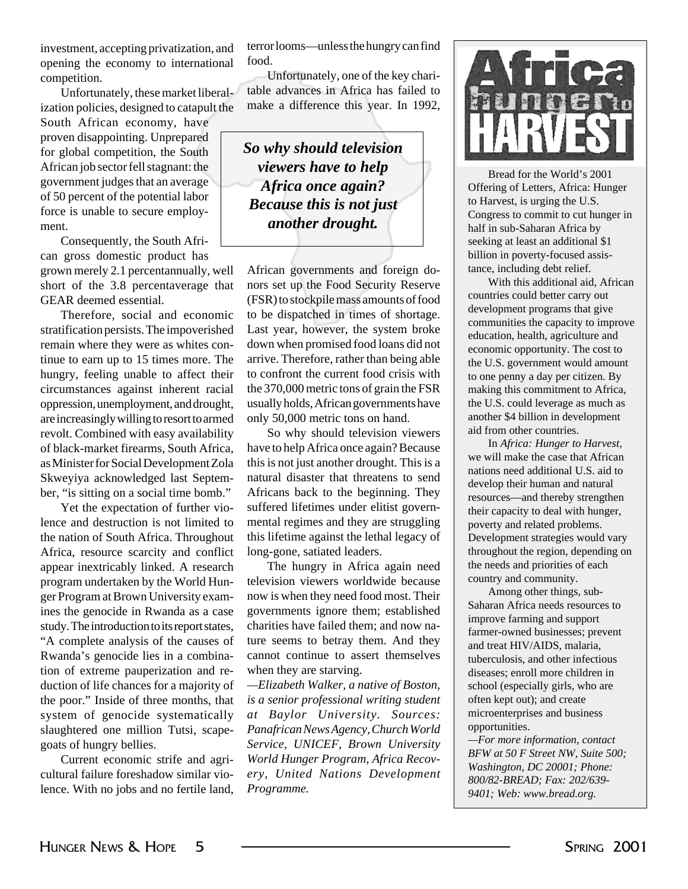investment, accepting privatization, and opening the economy to international competition.

Unfortunately, these market liberalization policies, designed to catapult the

South African economy, have proven disappointing. Unprepared for global competition, the South African job sector fell stagnant: the government judges that an average of 50 percent of the potential labor force is unable to secure employment.

Consequently, the South African gross domestic product has grown merely 2.1 percentannually, well short of the 3.8 percentaverage that GEAR deemed essential.

Therefore, social and economic stratification persists. The impoverished remain where they were as whites continue to earn up to 15 times more. The hungry, feeling unable to affect their circumstances against inherent racial oppression, unemployment, and drought, are increasingly willing to resort to armed revolt. Combined with easy availability of black-market firearms, South Africa, as Minister for Social Development Zola Skweyiya acknowledged last September, "is sitting on a social time bomb."

Yet the expectation of further violence and destruction is not limited to the nation of South Africa. Throughout Africa, resource scarcity and conflict appear inextricably linked. A research program undertaken by the World Hunger Program at Brown University examines the genocide in Rwanda as a case study. The introduction to its report states, "A complete analysis of the causes of Rwanda's genocide lies in a combination of extreme pauperization and reduction of life chances for a majority of the poor." Inside of three months, that system of genocide systematically slaughtered one million Tutsi, scapegoats of hungry bellies.

Current economic strife and agricultural failure foreshadow similar violence. With no jobs and no fertile land, terror looms—unless the hungry can find food.

Unfortunately, one of the key charitable advances in Africa has failed to make a difference this year. In 1992,

*So why should television viewers have to help Africa once again? Because this is not just another drought.*

African governments and foreign donors set up the Food Security Reserve (FSR) to stockpile mass amounts of food to be dispatched in times of shortage. Last year, however, the system broke down when promised food loans did not arrive. Therefore, rather than being able to confront the current food crisis with the 370,000 metric tons of grain the FSR usually holds, African governments have only 50,000 metric tons on hand.

So why should television viewers have to help Africa once again? Because this is not just another drought. This is a natural disaster that threatens to send Africans back to the beginning. They suffered lifetimes under elitist governmental regimes and they are struggling this lifetime against the lethal legacy of long-gone, satiated leaders.

The hungry in Africa again need television viewers worldwide because now is when they need food most. Their governments ignore them; established charities have failed them; and now nature seems to betray them. And they cannot continue to assert themselves when they are starving.

*—Elizabeth Walker, a native of Boston, is a senior professional writing student at Baylor University. Sources: Panafrican News Agency, Church World Service, UNICEF, Brown University World Hunger Program, Africa Recovery, United Nations Development Programme.*



Bread for the World's 2001 Offering of Letters, Africa: Hunger to Harvest, is urging the U.S. Congress to commit to cut hunger in half in sub-Saharan Africa by seeking at least an additional \$1 billion in poverty-focused assistance, including debt relief.

With this additional aid, African countries could better carry out development programs that give communities the capacity to improve education, health, agriculture and economic opportunity. The cost to the U.S. government would amount to one penny a day per citizen. By making this commitment to Africa, the U.S. could leverage as much as another \$4 billion in development aid from other countries.

In *Africa: Hunger to Harvest,* we will make the case that African nations need additional U.S. aid to develop their human and natural resources—and thereby strengthen their capacity to deal with hunger, poverty and related problems. Development strategies would vary throughout the region, depending on the needs and priorities of each country and community.

Among other things, sub-Saharan Africa needs resources to improve farming and support farmer-owned businesses; prevent and treat HIV/AIDS, malaria, tuberculosis, and other infectious diseases; enroll more children in school (especially girls, who are often kept out); and create microenterprises and business opportunities.

*—For more information, contact BFW at 50 F Street NW, Suite 500; Washington, DC 20001; Phone: 800/82-BREAD; Fax: 202/639- 9401; Web: www.bread.org.*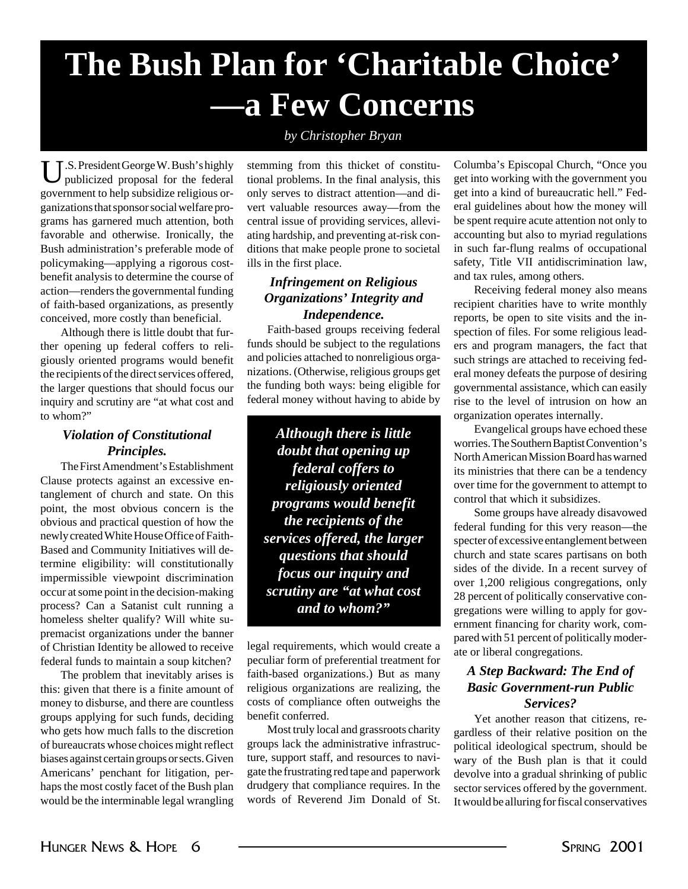# **The Bush Plan for 'Charitable Choice' —a Few Concerns**

#### *by Christopher Bryan*

U.S. President George W. Bush's highly publicized proposal for the federal government to help subsidize religious organizations that sponsor social welfare programs has garnered much attention, both favorable and otherwise. Ironically, the Bush administration's preferable mode of policymaking—applying a rigorous costbenefit analysis to determine the course of action—renders the governmental funding of faith-based organizations, as presently conceived, more costly than beneficial.

Although there is little doubt that further opening up federal coffers to religiously oriented programs would benefit the recipients of the direct services offered, the larger questions that should focus our inquiry and scrutiny are "at what cost and to whom?"

#### *Violation of Constitutional Principles.*

The First Amendment's Establishment Clause protects against an excessive entanglement of church and state. On this point, the most obvious concern is the obvious and practical question of how the newly created White House Office of Faith-Based and Community Initiatives will determine eligibility: will constitutionally impermissible viewpoint discrimination occur at some point in the decision-making process? Can a Satanist cult running a homeless shelter qualify? Will white supremacist organizations under the banner of Christian Identity be allowed to receive federal funds to maintain a soup kitchen?

The problem that inevitably arises is this: given that there is a finite amount of money to disburse, and there are countless groups applying for such funds, deciding who gets how much falls to the discretion of bureaucrats whose choices might reflect biases against certain groups or sects. Given Americans' penchant for litigation, perhaps the most costly facet of the Bush plan would be the interminable legal wrangling

stemming from this thicket of constitutional problems. In the final analysis, this only serves to distract attention—and divert valuable resources away—from the central issue of providing services, alleviating hardship, and preventing at-risk conditions that make people prone to societal ills in the first place.

#### *Infringement on Religious Organizations' Integrity and Independence.*

Faith-based groups receiving federal funds should be subject to the regulations and policies attached to nonreligious organizations. (Otherwise, religious groups get the funding both ways: being eligible for federal money without having to abide by

*Although there is little doubt that opening up federal coffers to religiously oriented programs would benefit the recipients of the services offered, the larger questions that should focus our inquiry and scrutiny are "at what cost and to whom?"*

legal requirements, which would create a peculiar form of preferential treatment for faith-based organizations.) But as many religious organizations are realizing, the costs of compliance often outweighs the benefit conferred.

Most truly local and grassroots charity groups lack the administrative infrastructure, support staff, and resources to navigate the frustrating red tape and paperwork drudgery that compliance requires. In the words of Reverend Jim Donald of St.

Columba's Episcopal Church, "Once you get into working with the government you get into a kind of bureaucratic hell." Federal guidelines about how the money will be spent require acute attention not only to accounting but also to myriad regulations in such far-flung realms of occupational safety, Title VII antidiscrimination law, and tax rules, among others.

Receiving federal money also means recipient charities have to write monthly reports, be open to site visits and the inspection of files. For some religious leaders and program managers, the fact that such strings are attached to receiving federal money defeats the purpose of desiring governmental assistance, which can easily rise to the level of intrusion on how an organization operates internally.

Evangelical groups have echoed these worries. The Southern Baptist Convention's North American Mission Board has warned its ministries that there can be a tendency over time for the government to attempt to control that which it subsidizes.

Some groups have already disavowed federal funding for this very reason—the specter of excessive entanglement between church and state scares partisans on both sides of the divide. In a recent survey of over 1,200 religious congregations, only 28 percent of politically conservative congregations were willing to apply for government financing for charity work, compared with 51 percent of politically moderate or liberal congregations.

#### *A Step Backward: The End of Basic Government-run Public Services?*

Yet another reason that citizens, regardless of their relative position on the political ideological spectrum, should be wary of the Bush plan is that it could devolve into a gradual shrinking of public sector services offered by the government. It would be alluring for fiscal conservatives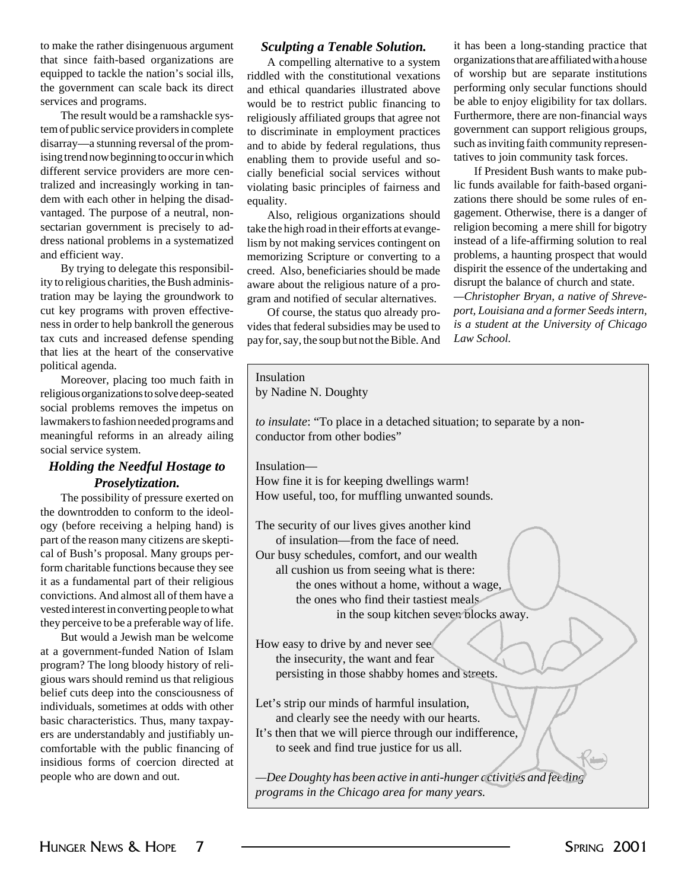to make the rather disingenuous argument that since faith-based organizations are equipped to tackle the nation's social ills, the government can scale back its direct services and programs.

The result would be a ramshackle system of public service providers in complete disarray—a stunning reversal of the promising trend now beginning to occur in which different service providers are more centralized and increasingly working in tandem with each other in helping the disadvantaged. The purpose of a neutral, nonsectarian government is precisely to address national problems in a systematized and efficient way.

By trying to delegate this responsibility to religious charities, the Bush administration may be laying the groundwork to cut key programs with proven effectiveness in order to help bankroll the generous tax cuts and increased defense spending that lies at the heart of the political agenda.

Moreover, placing too religious organizations to solv social problems removes the lawmakers to fashion needed meaningful reforms in an a social service system.

#### *Holding the Needful H Proselytization.*

The possibility of pressure the downtrodden to conform ogy (before receiving a help part of the reason many citizen cal of Bush's proposal. Man form charitable functions be it as a fundamental part of convictions. And almost all of vested interest in converting they perceive to be a preferal

But would a Jewish ma at a government-funded Na program? The long bloody h gious wars should remind us belief cuts deep into the cons individuals, sometimes at od basic characteristics. Thus, ers are understandably and comfortable with the public insidious forms of coercion people who are down and of

#### *Sculpting a Tenable Solution.*

A compelling alternative to a system riddled with the constitutional vexations and ethical quandaries illustrated above would be to restrict public financing to religiously affiliated groups that agree not to discriminate in employment practices and to abide by federal regulations, thus enabling them to provide useful and socially beneficial social services without violating basic principles of fairness and equality.

Also, religious organizations should take the high road in their efforts at evangelism by not making services contingent on memorizing Scripture or converting to a creed. Also, beneficiaries should be made aware about the religious nature of a program and notified of secular alternatives.

Of course, the status quo already provides that federal subsidies may be used to pay for, say, the soup but not the Bible. And it has been a long-standing practice that organizations that are affiliated with a house of worship but are separate institutions performing only secular functions should be able to enjoy eligibility for tax dollars. Furthermore, there are non-financial ways government can support religious groups, such as inviting faith community representatives to join community task forces.

If President Bush wants to make public funds available for faith-based organizations there should be some rules of engagement. Otherwise, there is a danger of religion becoming a mere shill for bigotry instead of a life-affirming solution to real problems, a haunting prospect that would dispirit the essence of the undertaking and disrupt the balance of church and state.

*—Christopher Bryan, a native of Shreveport, Louisiana and a former Seeds intern, is a student at the University of Chicago Law School.*

| e conservative                                                   | $\mu$ , $\sigma$ , $\sigma$ , $\mu$ , $\sigma$ , $\sigma$ , $\sigma$ , $\sigma$ , $\sigma$ , $\sigma$ , $\sigma$ , $\sigma$ , $\sigma$ , $\sigma$ , $\sigma$ , $\sigma$ , $\sigma$ , $\sigma$ , $\sigma$ , $\sigma$ , $\sigma$ , $\sigma$ , $\sigma$ , $\sigma$ , $\sigma$ , $\sigma$ , $\sigma$ , $\sigma$ , $\sigma$ , $\sigma$ , $\sigma$ , $\sigma$ , |
|------------------------------------------------------------------|-----------------------------------------------------------------------------------------------------------------------------------------------------------------------------------------------------------------------------------------------------------------------------------------------------------------------------------------------------------|
| much faith in<br>ve deep-seated<br>ne impetus on<br>programs and | Insulation<br>by Nadine N. Doughty<br>to insulate: "To place in a detached situation; to separate by a non-                                                                                                                                                                                                                                               |
| already ailing                                                   | conductor from other bodies"                                                                                                                                                                                                                                                                                                                              |
| Hostage to                                                       | Insulation-                                                                                                                                                                                                                                                                                                                                               |
| n.                                                               | How fine it is for keeping dwellings warm!                                                                                                                                                                                                                                                                                                                |
| ure exerted on                                                   | How useful, too, for muffling unwanted sounds.                                                                                                                                                                                                                                                                                                            |
| n to the ideol-                                                  |                                                                                                                                                                                                                                                                                                                                                           |
| lping hand) is                                                   | The security of our lives gives another kind                                                                                                                                                                                                                                                                                                              |
| ens are skepti-                                                  | of insulation—from the face of need.                                                                                                                                                                                                                                                                                                                      |
| ny groups per-                                                   | Our busy schedules, comfort, and our wealth                                                                                                                                                                                                                                                                                                               |
| cause they see                                                   | all cushion us from seeing what is there:                                                                                                                                                                                                                                                                                                                 |
| their religious                                                  | the ones without a home, without a wage,                                                                                                                                                                                                                                                                                                                  |
| of them have a                                                   | the ones who find their tastiest meals                                                                                                                                                                                                                                                                                                                    |
| people to what                                                   | in the soup kitchen seven blocks away.                                                                                                                                                                                                                                                                                                                    |
| ble way of life.                                                 |                                                                                                                                                                                                                                                                                                                                                           |
| n be welcome                                                     | How easy to drive by and never see                                                                                                                                                                                                                                                                                                                        |
| ation of Islam                                                   | the insecurity, the want and fear                                                                                                                                                                                                                                                                                                                         |
| history of reli-                                                 | persisting in those shabby homes and streets.                                                                                                                                                                                                                                                                                                             |
| s that religious<br>nsciousness of                               |                                                                                                                                                                                                                                                                                                                                                           |
| dds with other                                                   | Let's strip our minds of harmful insulation,                                                                                                                                                                                                                                                                                                              |
| many taxpay-                                                     | and clearly see the needy with our hearts.                                                                                                                                                                                                                                                                                                                |
|                                                                  | It's then that we will pierce through our indifference,                                                                                                                                                                                                                                                                                                   |
| justifiably un-<br>c financing of                                | to seek and find true justice for us all.                                                                                                                                                                                                                                                                                                                 |
| on directed at                                                   |                                                                                                                                                                                                                                                                                                                                                           |
|                                                                  |                                                                                                                                                                                                                                                                                                                                                           |
| ut.                                                              | —Dee Doughty has been active in anti-hunger c ctivities and feeding                                                                                                                                                                                                                                                                                       |
|                                                                  | programs in the Chicago area for many years.                                                                                                                                                                                                                                                                                                              |
|                                                                  |                                                                                                                                                                                                                                                                                                                                                           |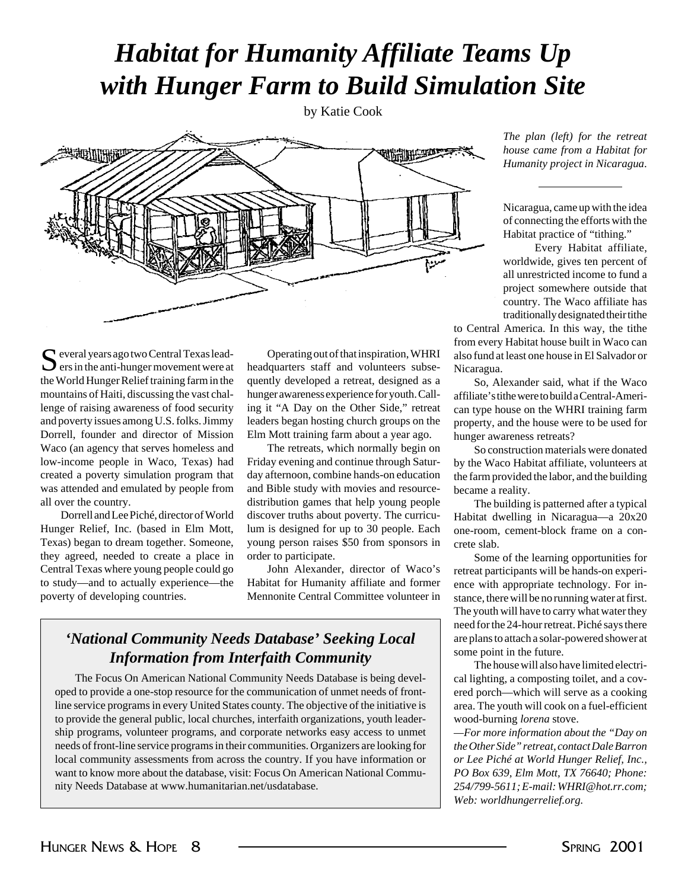## *Habitat for Humanity Affiliate Teams Up with Hunger Farm to Build Simulation Site*

by Katie Cook



 $\Gamma$  everal years ago two Central Texas lead- $\sum$  ers in the anti-hunger movement were at the World Hunger Relief training farm in the mountains of Haiti, discussing the vast challenge of raising awareness of food security and poverty issues among U.S. folks. Jimmy Dorrell, founder and director of Mission Waco (an agency that serves homeless and low-income people in Waco, Texas) had created a poverty simulation program that was attended and emulated by people from all over the country.

Dorrell and Lee Piché, director of World Hunger Relief, Inc. (based in Elm Mott, Texas) began to dream together. Someone, they agreed, needed to create a place in Central Texas where young people could go to study—and to actually experience—the poverty of developing countries.

Operating out of that inspiration, WHRI headquarters staff and volunteers subsequently developed a retreat, designed as a hunger awareness experience for youth. Calling it "A Day on the Other Side," retreat leaders began hosting church groups on the Elm Mott training farm about a year ago.

The retreats, which normally begin on Friday evening and continue through Saturday afternoon, combine hands-on education and Bible study with movies and resourcedistribution games that help young people discover truths about poverty. The curriculum is designed for up to 30 people. Each young person raises \$50 from sponsors in order to participate.

John Alexander, director of Waco's Habitat for Humanity affiliate and former Mennonite Central Committee volunteer in

#### *'National Community Needs Database' Seeking Local Information from Interfaith Community*

The Focus On American National Community Needs Database is being developed to provide a one-stop resource for the communication of unmet needs of frontline service programs in every United States county. The objective of the initiative is to provide the general public, local churches, interfaith organizations, youth leadership programs, volunteer programs, and corporate networks easy access to unmet needs of front-line service programs in their communities. Organizers are looking for local community assessments from across the country. If you have information or want to know more about the database, visit: Focus On American National Community Needs Database at www.humanitarian.net/usdatabase.

*The plan (left) for the retreat house came from a Habitat for Humanity project in Nicaragua*.

Nicaragua, came up with the idea of connecting the efforts with the Habitat practice of "tithing."

Every Habitat affiliate, worldwide, gives ten percent of all unrestricted income to fund a project somewhere outside that country. The Waco affiliate has traditionally designated their tithe

to Central America. In this way, the tithe from every Habitat house built in Waco can also fund at least one house in El Salvador or Nicaragua.

So, Alexander said, what if the Waco affiliate's tithe were to build a Central-American type house on the WHRI training farm property, and the house were to be used for hunger awareness retreats?

So construction materials were donated by the Waco Habitat affiliate, volunteers at the farm provided the labor, and the building became a reality.

The building is patterned after a typical Habitat dwelling in Nicaragua—a 20x20 one-room, cement-block frame on a concrete slab.

Some of the learning opportunities for retreat participants will be hands-on experience with appropriate technology. For instance, there will be no running water at first. The youth will have to carry what water they need for the 24-hour retreat. Piché says there are plans to attach a solar-powered shower at some point in the future.

The house will also have limited electrical lighting, a composting toilet, and a covered porch—which will serve as a cooking area. The youth will cook on a fuel-efficient wood-burning *lorena* stove.

*—For more information about the "Day on the Other Side" retreat, contact Dale Barron or Lee Piché at World Hunger Relief, Inc., PO Box 639, Elm Mott, TX 76640; Phone: 254/799-5611; E-mail: WHRI@hot.rr.com; Web: worldhungerrelief.org.*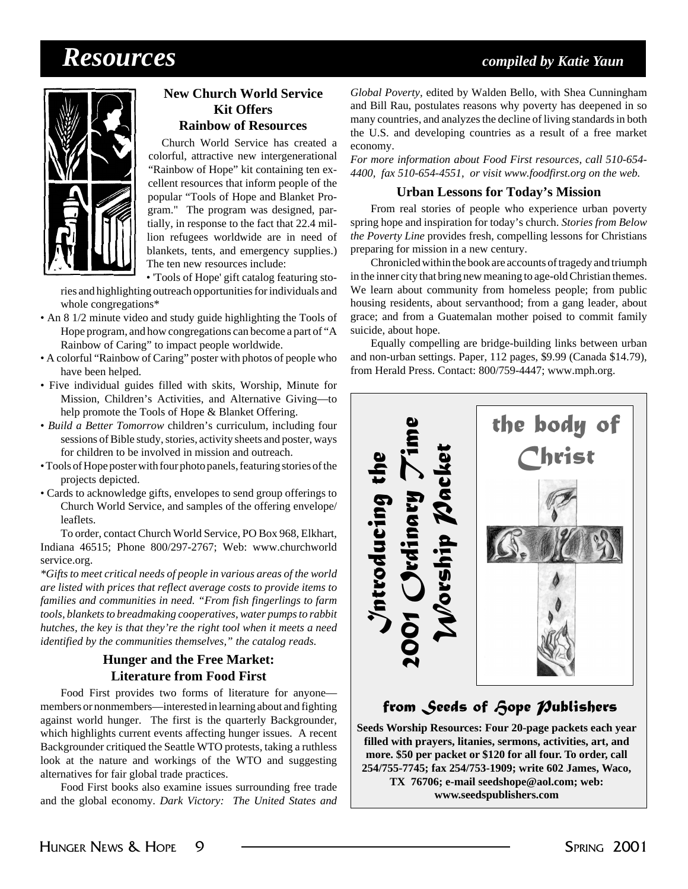## *Resources compiled by Katie Yaun*



#### **New Church World Service Kit Offers Rainbow of Resources**

Church World Service has created a colorful, attractive new intergenerational "Rainbow of Hope" kit containing ten excellent resources that inform people of the popular "Tools of Hope and Blanket Program." The program was designed, partially, in response to the fact that 22.4 million refugees worldwide are in need of blankets, tents, and emergency supplies.) The ten new resources include:

• 'Tools of Hope' gift catalog featuring stories and highlighting outreach opportunities for individuals and whole congregations\*

- An 8 1/2 minute video and study guide highlighting the Tools of Hope program, and how congregations can become a part of "A Rainbow of Caring" to impact people worldwide.
- A colorful "Rainbow of Caring" poster with photos of people who have been helped.
- Five individual guides filled with skits, Worship, Minute for Mission, Children's Activities, and Alternative Giving—to help promote the Tools of Hope & Blanket Offering.
- *Build a Better Tomorrow* children's curriculum, including four sessions of Bible study, stories, activity sheets and poster, ways for children to be involved in mission and outreach.
- Tools of Hope poster with four photo panels, featuring stories of the projects depicted.
- Cards to acknowledge gifts, envelopes to send group offerings to Church World Service, and samples of the offering envelope/ leaflets.

To order, contact Church World Service, PO Box 968, Elkhart, Indiana 46515; Phone 800/297-2767; Web: www.churchworld service.org.

*\*Gifts to meet critical needs of people in various areas of the world are listed with prices that reflect average costs to provide items to families and communities in need. "From fish fingerlings to farm tools, blankets to breadmaking cooperatives, water pumps to rabbit hutches, the key is that they're the right tool when it meets a need identified by the communities themselves," the catalog reads.*

#### **Hunger and the Free Market: Literature from Food First**

Food First provides two forms of literature for anyone members or nonmembers—interested in learning about and fighting against world hunger. The first is the quarterly Backgrounder*,* which highlights current events affecting hunger issues. A recent Backgrounder critiqued the Seattle WTO protests, taking a ruthless look at the nature and workings of the WTO and suggesting alternatives for fair global trade practices.

Food First books also examine issues surrounding free trade and the global economy. *Dark Victory: The United States and*

*Global Poverty,* edited by Walden Bello, with Shea Cunningham and Bill Rau, postulates reasons why poverty has deepened in so many countries, and analyzes the decline of living standards in both the U.S. and developing countries as a result of a free market economy.

*For more information about Food First resources, call 510-654- 4400, fax 510-654-4551, or visit www.foodfirst.org on the web.*

#### **Urban Lessons for Today's Mission**

From real stories of people who experience urban poverty spring hope and inspiration for today's church. *Stories from Below the Poverty Line* provides fresh, compelling lessons for Christians preparing for mission in a new century.

Chronicled within the book are accounts of tragedy and triumph in the inner city that bring new meaning to age-old Christian themes. We learn about community from homeless people; from public housing residents, about servanthood; from a gang leader, about grace; and from a Guatemalan mother poised to commit family suicide, about hope.

Equally compelling are bridge-building links between urban and non-urban settings. Paper, 112 pages, \$9.99 (Canada \$14.79), from Herald Press. Contact: 800/759-4447; www.mph.org.



#### *from Seeds of Hope Publishers*

**Seeds Worship Resources: Four 20-page packets each year filled with prayers, litanies, sermons, activities, art, and more. \$50 per packet or \$120 for all four. To order, call 254/755-7745; fax 254/753-1909; write 602 James, Waco, TX 76706; e-mail seedshope@aol.com; web: www.seedspublishers.com**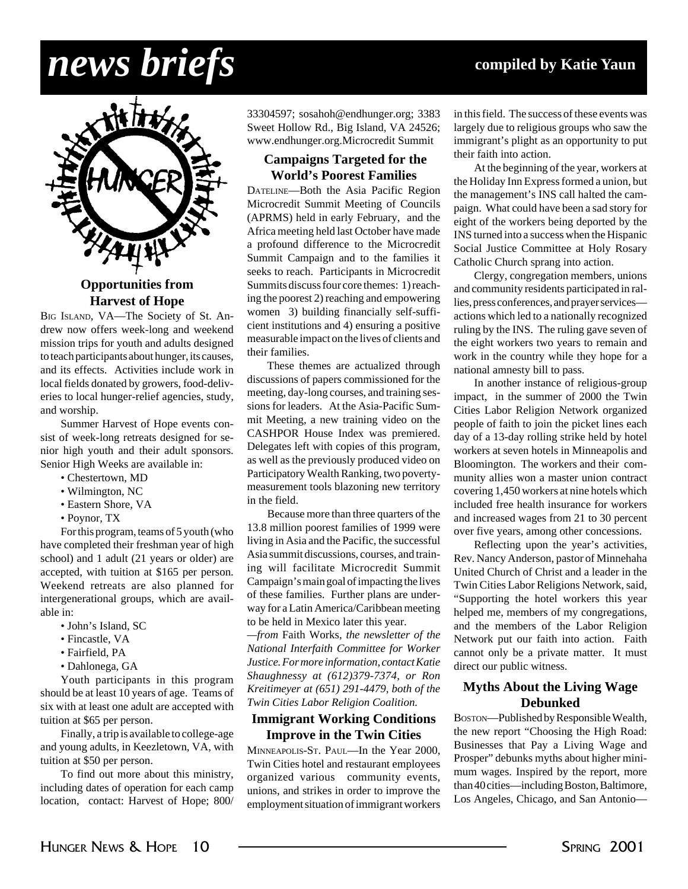# *news briefs* **compiled by Katie Yaun**



**Harvest of Hope**

BIG ISLAND, VA—The Society of St. Andrew now offers week-long and weekend mission trips for youth and adults designed to teach participants about hunger, its causes, and its effects. Activities include work in local fields donated by growers, food-deliveries to local hunger-relief agencies, study, and worship.

Summer Harvest of Hope events consist of week-long retreats designed for senior high youth and their adult sponsors. Senior High Weeks are available in:

- Chestertown, MD
- Wilmington, NC
- Eastern Shore, VA
- Poynor, TX

For this program, teams of 5 youth (who have completed their freshman year of high school) and 1 adult (21 years or older) are accepted, with tuition at \$165 per person. Weekend retreats are also planned for intergenerational groups, which are available in:

- John's Island, SC
- Fincastle, VA
- Fairfield, PA
- Dahlonega, GA

Youth participants in this program should be at least 10 years of age. Teams of six with at least one adult are accepted with tuition at \$65 per person.

Finally, a trip is available to college-age and young adults, in Keezletown, VA, with tuition at \$50 per person.

To find out more about this ministry, including dates of operation for each camp location, contact: Harvest of Hope; 800/

33304597; sosahoh@endhunger.org; 3383 Sweet Hollow Rd., Big Island, VA 24526; www.endhunger.org.Microcredit Summit

#### **Campaigns Targeted for the World's Poorest Families**

DATELINE—Both the Asia Pacific Region Microcredit Summit Meeting of Councils (APRMS) held in early February, and the Africa meeting held last October have made a profound difference to the Microcredit Summit Campaign and to the families it seeks to reach. Participants in Microcredit Summits discuss four core themes: 1) reaching the poorest 2) reaching and empowering women 3) building financially self-sufficient institutions and 4) ensuring a positive measurable impact on the lives of clients and their families.

These themes are actualized through discussions of papers commissioned for the meeting, day-long courses, and training sessions for leaders. At the Asia-Pacific Summit Meeting, a new training video on the CASHPOR House Index was premiered. Delegates left with copies of this program, as well as the previously produced video on Participatory Wealth Ranking, two povertymeasurement tools blazoning new territory in the field.

Because more than three quarters of the 13.8 million poorest families of 1999 were living in Asia and the Pacific, the successful Asia summit discussions, courses, and training will facilitate Microcredit Summit Campaign's main goal of impacting the lives of these families. Further plans are underway for a Latin America/Caribbean meeting to be held in Mexico later this year.

*—from* Faith Works, *the newsletter of the National Interfaith Committee for Worker Justice. For more information, contact Katie Shaughnessy at (612)379-7374, or Ron Kreitimeyer at (651) 291-4479, both of the Twin Cities Labor Religion Coalition.*

#### **Immigrant Working Conditions Improve in the Twin Cities**

MINNEAPOLIS-ST. PAUL—In the Year 2000, Twin Cities hotel and restaurant employees organized various community events, unions, and strikes in order to improve the employment situation of immigrant workers in this field. The success of these events was largely due to religious groups who saw the immigrant's plight as an opportunity to put their faith into action.

At the beginning of the year, workers at the Holiday Inn Express formed a union, but the management's INS call halted the campaign. What could have been a sad story for eight of the workers being deported by the INS turned into a success when the Hispanic Social Justice Committee at Holy Rosary Catholic Church sprang into action.

Clergy, congregation members, unions and community residents participated in rallies, press conferences, and prayer services actions which led to a nationally recognized ruling by the INS. The ruling gave seven of the eight workers two years to remain and work in the country while they hope for a national amnesty bill to pass.

In another instance of religious-group impact, in the summer of 2000 the Twin Cities Labor Religion Network organized people of faith to join the picket lines each day of a 13-day rolling strike held by hotel workers at seven hotels in Minneapolis and Bloomington. The workers and their community allies won a master union contract covering 1,450 workers at nine hotels which included free health insurance for workers and increased wages from 21 to 30 percent over five years, among other concessions.

Reflecting upon the year's activities, Rev. Nancy Anderson, pastor of Minnehaha United Church of Christ and a leader in the Twin Cities Labor Religions Network, said, "Supporting the hotel workers this year helped me, members of my congregations, and the members of the Labor Religion Network put our faith into action. Faith cannot only be a private matter. It must direct our public witness.

#### **Myths About the Living Wage Debunked**

BOSTON—Published by Responsible Wealth, the new report "Choosing the High Road: Businesses that Pay a Living Wage and Prosper" debunks myths about higher minimum wages. Inspired by the report, more than 40 cities—including Boston, Baltimore, Los Angeles, Chicago, and San Antonio—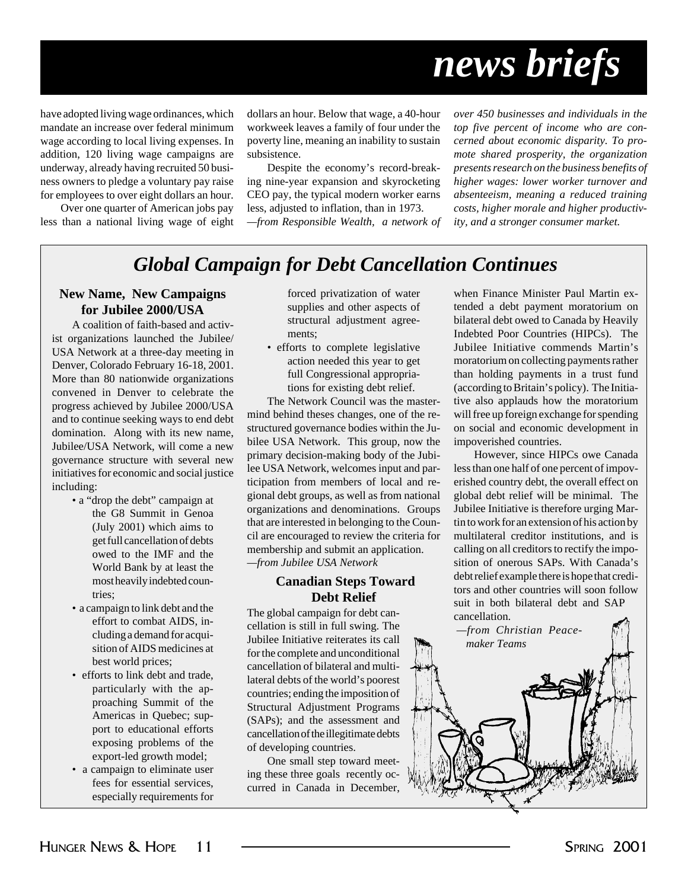# *news briefs*

have adopted living wage ordinances, which mandate an increase over federal minimum wage according to local living expenses. In addition, 120 living wage campaigns are underway, already having recruited 50 business owners to pledge a voluntary pay raise for employees to over eight dollars an hour.

Over one quarter of American jobs pay less than a national living wage of eight dollars an hour. Below that wage, a 40-hour workweek leaves a family of four under the poverty line, meaning an inability to sustain subsistence.

Despite the economy's record-breaking nine-year expansion and skyrocketing CEO pay, the typical modern worker earns less, adjusted to inflation, than in 1973.

*—from Responsible Wealth, a network of*

*over 450 businesses and individuals in the top five percent of income who are concerned about economic disparity. To promote shared prosperity, the organization presents research on the business benefits of higher wages: lower worker turnover and absenteeism, meaning a reduced training costs, higher morale and higher productivity, and a stronger consumer market.*

#### *Global Campaign for Debt Cancellation Continues*

#### **New Name, New Campaigns for Jubilee 2000/USA**

A coalition of faith-based and activist organizations launched the Jubilee/ USA Network at a three-day meeting in Denver, Colorado February 16-18, 2001. More than 80 nationwide organizations convened in Denver to celebrate the progress achieved by Jubilee 2000/USA and to continue seeking ways to end debt domination. Along with its new name, Jubilee/USA Network, will come a new governance structure with several new initiatives for economic and social justice including:

- a "drop the debt" campaign at the G8 Summit in Genoa (July 2001) which aims to get full cancellation of debts owed to the IMF and the World Bank by at least the most heavily indebted countries;
- a campaign to link debt and the effort to combat AIDS, including a demand for acquisition of AIDS medicines at best world prices;
- efforts to link debt and trade, particularly with the approaching Summit of the Americas in Quebec; support to educational efforts exposing problems of the export-led growth model;
- a campaign to eliminate user fees for essential services, especially requirements for

forced privatization of water supplies and other aspects of structural adjustment agreements;

• efforts to complete legislative action needed this year to get full Congressional appropriations for existing debt relief.

The Network Council was the mastermind behind theses changes, one of the restructured governance bodies within the Jubilee USA Network. This group, now the primary decision-making body of the Jubilee USA Network, welcomes input and participation from members of local and regional debt groups, as well as from national organizations and denominations. Groups that are interested in belonging to the Council are encouraged to review the criteria for membership and submit an application. *—from Jubilee USA Network*

#### **Canadian Steps Toward Debt Relief**

The global campaign for debt cancellation is still in full swing. The Jubilee Initiative reiterates its call for the complete and unconditional cancellation of bilateral and multilateral debts of the world's poorest countries; ending the imposition of Structural Adjustment Programs (SAPs); and the assessment and cancellation of the illegitimate debts of developing countries.

One small step toward meeting these three goals recently occurred in Canada in December, when Finance Minister Paul Martin extended a debt payment moratorium on bilateral debt owed to Canada by Heavily Indebted Poor Countries (HIPCs). The Jubilee Initiative commends Martin's moratorium on collecting payments rather than holding payments in a trust fund (according to Britain's policy). The Initiative also applauds how the moratorium will free up foreign exchange for spending on social and economic development in impoverished countries.

However, since HIPCs owe Canada less than one half of one percent of impoverished country debt, the overall effect on global debt relief will be minimal. The Jubilee Initiative is therefore urging Martin to work for an extension of his action by multilateral creditor institutions, and is calling on all creditors to rectify the imposition of onerous SAPs. With Canada's debt relief example there is hope that creditors and other countries will soon follow suit in both bilateral debt and SAP cancellation.